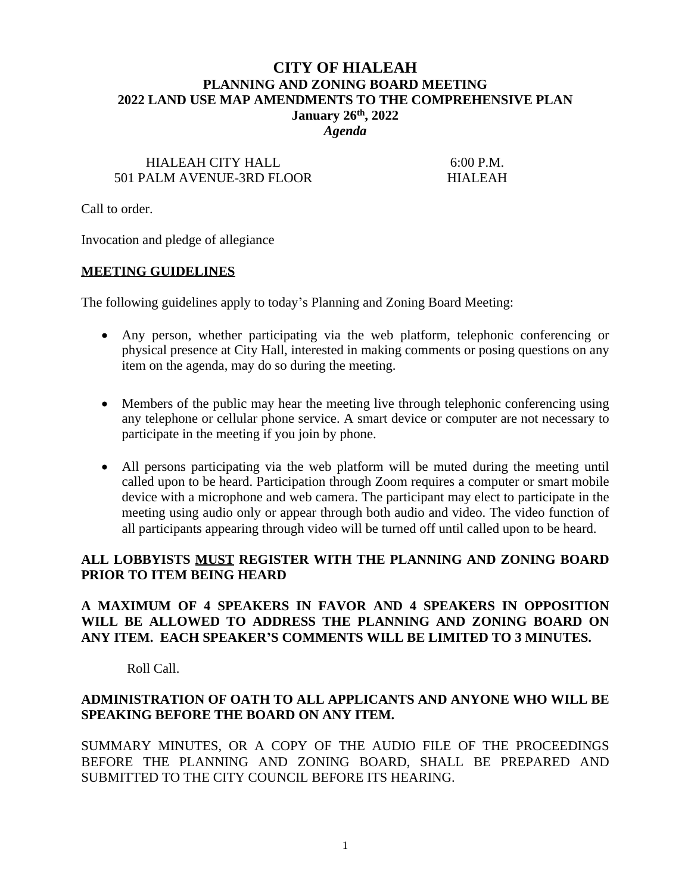# **CITY OF HIALEAH PLANNING AND ZONING BOARD MEETING 2022 LAND USE MAP AMENDMENTS TO THE COMPREHENSIVE PLAN January 26th, 2022**

*Agenda*

# HIALEAH CITY HALL 6:00 P.M. 501 PALM AVENUE-3RD FLOOR HIALEAH

Call to order.

Invocation and pledge of allegiance

#### **MEETING GUIDELINES**

The following guidelines apply to today's Planning and Zoning Board Meeting:

- Any person, whether participating via the web platform, telephonic conferencing or physical presence at City Hall, interested in making comments or posing questions on any item on the agenda, may do so during the meeting.
- Members of the public may hear the meeting live through telephonic conferencing using any telephone or cellular phone service. A smart device or computer are not necessary to participate in the meeting if you join by phone.
- All persons participating via the web platform will be muted during the meeting until called upon to be heard. Participation through Zoom requires a computer or smart mobile device with a microphone and web camera. The participant may elect to participate in the meeting using audio only or appear through both audio and video. The video function of all participants appearing through video will be turned off until called upon to be heard.

## **ALL LOBBYISTS MUST REGISTER WITH THE PLANNING AND ZONING BOARD PRIOR TO ITEM BEING HEARD**

## **A MAXIMUM OF 4 SPEAKERS IN FAVOR AND 4 SPEAKERS IN OPPOSITION WILL BE ALLOWED TO ADDRESS THE PLANNING AND ZONING BOARD ON ANY ITEM. EACH SPEAKER'S COMMENTS WILL BE LIMITED TO 3 MINUTES.**

Roll Call.

## **ADMINISTRATION OF OATH TO ALL APPLICANTS AND ANYONE WHO WILL BE SPEAKING BEFORE THE BOARD ON ANY ITEM.**

SUMMARY MINUTES, OR A COPY OF THE AUDIO FILE OF THE PROCEEDINGS BEFORE THE PLANNING AND ZONING BOARD, SHALL BE PREPARED AND SUBMITTED TO THE CITY COUNCIL BEFORE ITS HEARING.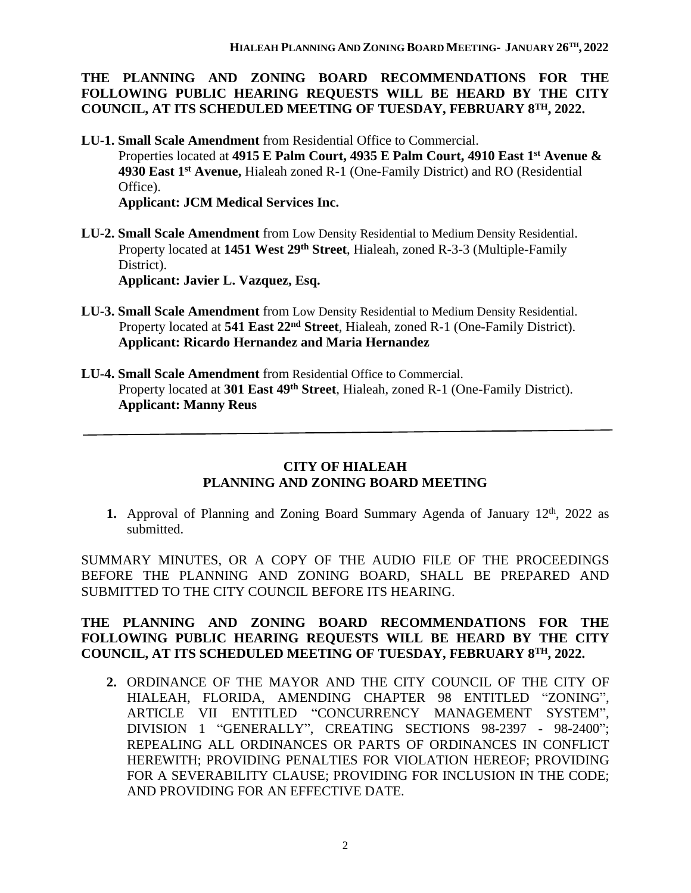**THE PLANNING AND ZONING BOARD RECOMMENDATIONS FOR THE FOLLOWING PUBLIC HEARING REQUESTS WILL BE HEARD BY THE CITY COUNCIL, AT ITS SCHEDULED MEETING OF TUESDAY, FEBRUARY 8TH, 2022.**

- **LU-1. Small Scale Amendment** from Residential Office to Commercial. Properties located at **4915 E Palm Court, 4935 E Palm Court, 4910 East 1st Avenue & 4930 East 1st Avenue,** Hialeah zoned R-1 (One-Family District) and RO (Residential Office). **Applicant: JCM Medical Services Inc.**
- **LU-2. Small Scale Amendment** from Low Density Residential to Medium Density Residential. Property located at **1451 West 29th Street**, Hialeah, zoned R-3-3 (Multiple-Family District).

 **Applicant: Javier L. Vazquez, Esq.**

- **LU-3. Small Scale Amendment** from Low Density Residential to Medium Density Residential. Property located at 541 East 22<sup>nd</sup> Street, Hialeah, zoned R-1 (One-Family District).  **Applicant: Ricardo Hernandez and Maria Hernandez**
- **LU-4. Small Scale Amendment** from Residential Office to Commercial. Property located at **301 East 49th Street**, Hialeah, zoned R-1 (One-Family District).  **Applicant: Manny Reus**

# **CITY OF HIALEAH PLANNING AND ZONING BOARD MEETING**

1. Approval of Planning and Zoning Board Summary Agenda of January 12<sup>th</sup>, 2022 as submitted.

SUMMARY MINUTES, OR A COPY OF THE AUDIO FILE OF THE PROCEEDINGS BEFORE THE PLANNING AND ZONING BOARD, SHALL BE PREPARED AND SUBMITTED TO THE CITY COUNCIL BEFORE ITS HEARING.

## **THE PLANNING AND ZONING BOARD RECOMMENDATIONS FOR THE FOLLOWING PUBLIC HEARING REQUESTS WILL BE HEARD BY THE CITY COUNCIL, AT ITS SCHEDULED MEETING OF TUESDAY, FEBRUARY 8TH, 2022.**

**2.** ORDINANCE OF THE MAYOR AND THE CITY COUNCIL OF THE CITY OF HIALEAH, FLORIDA, AMENDING CHAPTER 98 ENTITLED "ZONING", ARTICLE VII ENTITLED "CONCURRENCY MANAGEMENT SYSTEM", DIVISION 1 "GENERALLY", CREATING SECTIONS 98-2397 - 98-2400"; REPEALING ALL ORDINANCES OR PARTS OF ORDINANCES IN CONFLICT HEREWITH; PROVIDING PENALTIES FOR VIOLATION HEREOF; PROVIDING FOR A SEVERABILITY CLAUSE; PROVIDING FOR INCLUSION IN THE CODE; AND PROVIDING FOR AN EFFECTIVE DATE.